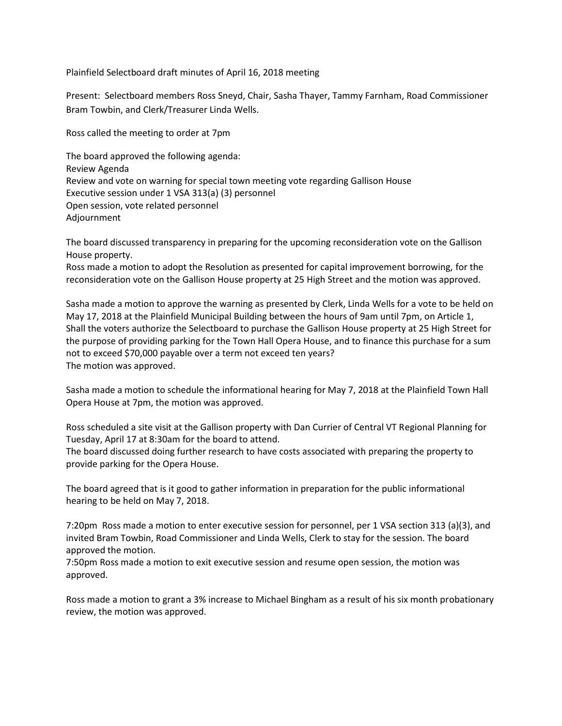Plainfield Selectboard draft minutes of April 16, 2018 meeting

Present: Selectboard members Ross Sneyd, Chair, Sasha Thayer, Tammy Farnham, Road Commissioner Bram Towbin, and Clerk/Treasurer Linda Wells.

Ross called the meeting to order at 7pm

The board approved the following agenda: Review Agenda Review and vote on warning for special town meeting vote regarding Gallison House Executive session under 1 VSA 313(a) (3) personnel Open session, vote related personnel Adjournment

The board discussed transparency in preparing for the upcoming reconsideration vote on the Gallison House property.

Ross made a motion to adopt the Resolution as presented for capital improvement borrowing, for the reconsideration vote on the Gallison House property at 25 High Street and the motion was approved.

Sasha made a motion to approve the warning as presented by Clerk, Linda Wells for a vote to be held on May 17, 2018 at the Plainfield Municipal Building between the hours of 9am until 7pm, on Article 1, Shall the voters authorize the Selectboard to purchase the Gallison House property at 25 High Street for the purpose of providing parking for the Town Hall Opera House, and to finance this purchase for a sum not to exceed \$70,000 payable over a term not exceed ten years? The motion was approved.

Sasha made a motion to schedule the informational hearing for May 7, 2018 at the Plainfield Town Hall Opera House at 7pm, the motion was approved.

Ross scheduled a site visit at the Gallison property with Dan Currier of Central VT Regional Planning for Tuesday, April 17 at 8:30am for the board to attend.

The board discussed doing further research to have costs associated with preparing the property to provide parking for the Opera House.

The board agreed that is it good to gather information in preparation for the public informational hearing to be held on May 7, 2018.

7:20pm Ross made a motion to enter executive session for personnel, per 1 VSA section 313 (a)(3), and invited Bram Towbin, Road Commissioner and Linda Wells, Clerk to stay for the session. The board approved the motion.

7:50pm Ross made a motion to exit executive session and resume open session, the motion was approved.

Ross made a motion to grant a 3% increase to Michael Bingham as a result of his six month probationary review, the motion was approved.